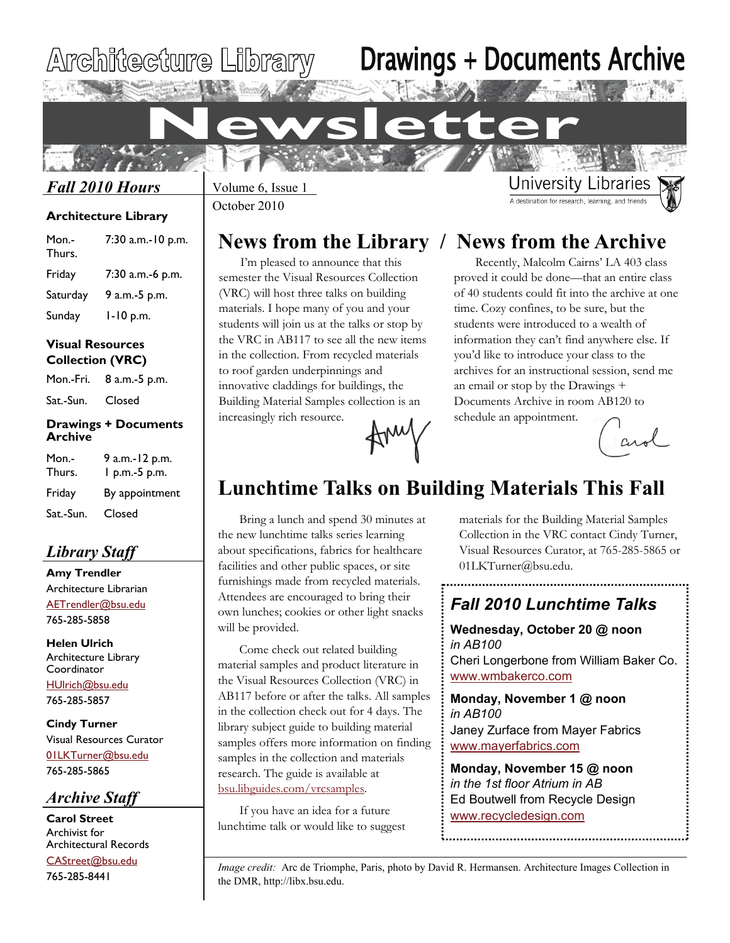# Architecture Library

# Drawings + Documents Archive

### *Fall 2010 Hours*

### **Architecture Library**

| Mon.-<br>Thurs. | 7:30 a.m.-10 p.m. |
|-----------------|-------------------|
| Friday          | 7:30 a.m.-6 p.m.  |
| Saturday        | 9 a.m.-5 p.m.     |
| Sunday          | $1 - 10$ p.m.     |

### **Visual Resources Collection (VRC)**

Mon.-Fri. 8 a.m.-5 p.m.

Sat.-Sun. Closed

### **Drawings + Documents Archive**

| Mon.-<br>Thurs. | 9 a.m.-12 p.m.<br>1 p.m.-5 p.m. |
|-----------------|---------------------------------|
| Friday          | By appointment                  |
| Sat.-Sun.       | Closed                          |

### *Library Staff*

**Amy Trendler**  Architecture Librarian [AETrendler@bsu.edu](mailto:aetrendler@bsu.edu) 765-285-5858

**Helen Ulrich**  Architecture Library **Coordinator** [HUlrich@bsu.edu](mailto:hulrich@bsu.edu) 765-285-5857

**Cindy Turner**  Visual Resources Curator [01LKTurner@bsu.edu](mailto:01LKTurner@bsu.edu) 765-285-5865

### *Archive Staff*

**Carol Street**  Archivist for Architectural Records [CAStreet@bsu.edu](mailto:CAStreet@bsu.edu)

765-285-8441

October 2010 Volume 6, Issue 1

## **News from the Library / News from the Archive**

I'm pleased to announce that this semester the Visual Resources Collection (VRC) will host three talks on building materials. I hope many of you and your students will join us at the talks or stop by the VRC in AB117 to see all the new items in the collection. From recycled materials to roof garden underpinnings and innovative claddings for buildings, the Building Material Samples collection is an increasingly rich resource.

Recently, Malcolm Cairns' LA 403 class proved it could be done—that an entire class of 40 students could fit into the archive at one time. Cozy confines, to be sure, but the students were introduced to a wealth of information they can't find anywhere else. If you'd like to introduce your class to the archives for an instructional session, send me an email or stop by the Drawings + Documents Archive in room AB120 to schedule an appointment.

**University Libraries** A destination for research, learning, and frie

# $C_A$

## **Lunchtime Talks on Building Materials This Fall**

Bring a lunch and spend 30 minutes at the new lunchtime talks series learning about specifications, fabrics for healthcare facilities and other public spaces, or site furnishings made from recycled materials. Attendees are encouraged to bring their own lunches; cookies or other light snacks will be provided.

Come check out related building material samples and product literature in the Visual Resources Collection (VRC) in AB117 before or after the talks. All samples in the collection check out for 4 days. The library subject guide to building material samples offers more information on finding samples in the collection and materials research. The guide is available at [bsu.libguides.com/vrcsamples](http://bsu.libguides.com/vrcsamples).

If you have an idea for a future lunchtime talk or would like to suggest materials for the Building Material Samples Collection in the VRC contact Cindy Turner, Visual Resources Curator, at 765-285-5865 or 01LKTurner@bsu.edu.

## *Fall 2010 Lunchtime Talks*

### **Wednesday, October 20 @ noon**  *in AB100* Cheri Longerbone from William Baker Co. [www.wmbakerco.com](http://wmbakerco.com/)

**Monday, November 1 @ noon**  *in AB100* Janey Zurface from Mayer Fabrics [www.mayerfabrics.com](http://www.mayerfabrics.com/)

**Monday, November 15 @ noon**  *in the 1st floor Atrium in AB*  Ed Boutwell from Recycle Design [www.recycledesign.com](http://www.recycledesign.com/)

*Image credit:* Arc de Triomphe, Paris, photo by David R. Hermansen. Architecture Images Collection in the DMR, http://libx.bsu.edu.